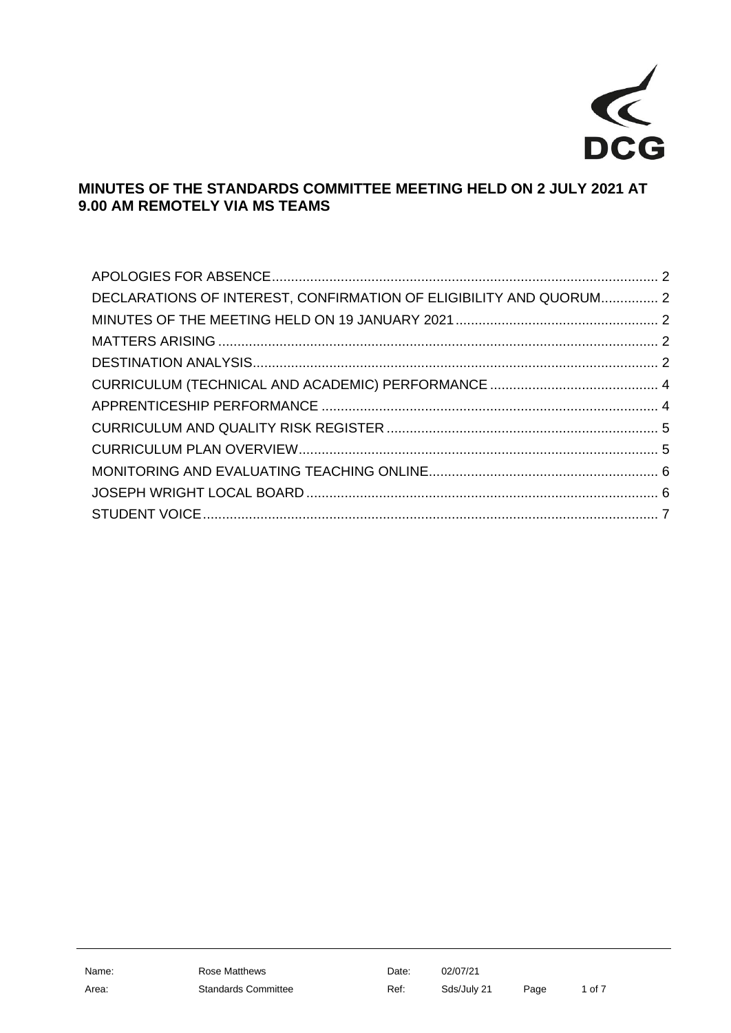

# **MINUTES OF THE STANDARDS COMMITTEE MEETING HELD ON 2 JULY 2021 AT 9.00 AM REMOTELY VIA MS TEAMS**

| DECLARATIONS OF INTEREST, CONFIRMATION OF ELIGIBILITY AND QUORUM 2 |  |
|--------------------------------------------------------------------|--|
|                                                                    |  |
|                                                                    |  |
|                                                                    |  |
|                                                                    |  |
|                                                                    |  |
|                                                                    |  |
|                                                                    |  |
|                                                                    |  |
|                                                                    |  |
|                                                                    |  |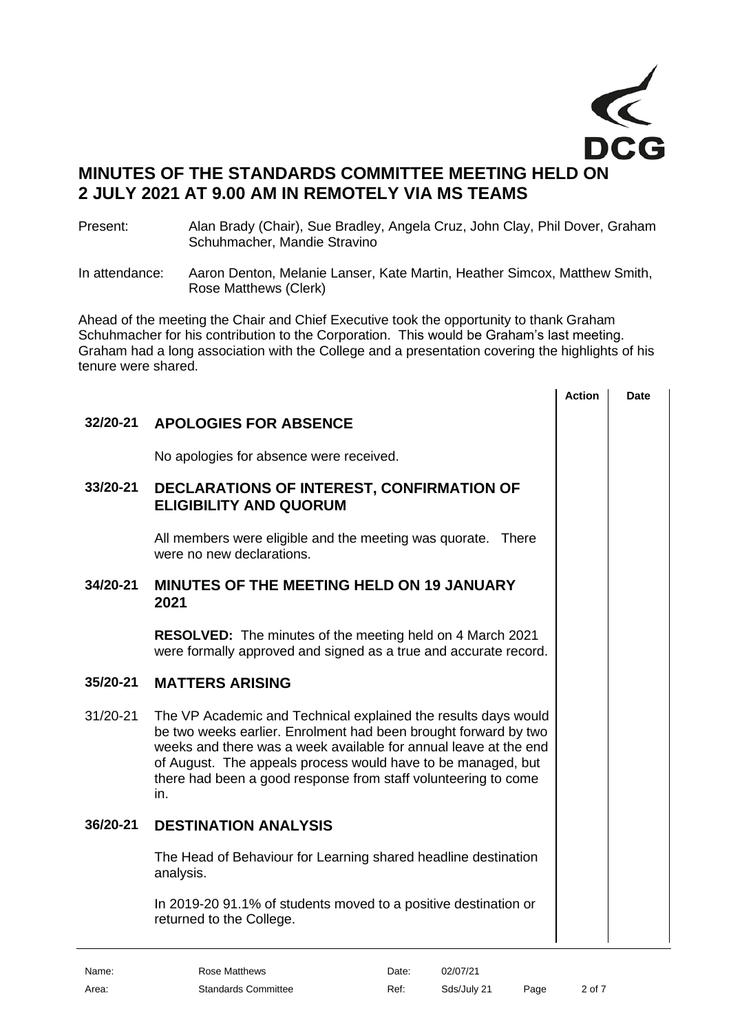

# **MINUTES OF THE STANDARDS COMMITTEE MEETING HELD ON 2 JULY 2021 AT 9.00 AM IN REMOTELY VIA MS TEAMS**

Present: Alan Brady (Chair), Sue Bradley, Angela Cruz, John Clay, Phil Dover, Graham Schuhmacher, Mandie Stravino

In attendance: Aaron Denton, Melanie Lanser, Kate Martin, Heather Simcox, Matthew Smith, Rose Matthews (Clerk)

Ahead of the meeting the Chair and Chief Executive took the opportunity to thank Graham Schuhmacher for his contribution to the Corporation. This would be Graham's last meeting. Graham had a long association with the College and a presentation covering the highlights of his tenure were shared.

|          |                                                                                                                                                                                                                                                                                                                                                | <b>Action</b> | <b>Date</b> |
|----------|------------------------------------------------------------------------------------------------------------------------------------------------------------------------------------------------------------------------------------------------------------------------------------------------------------------------------------------------|---------------|-------------|
| 32/20-21 | <b>APOLOGIES FOR ABSENCE</b>                                                                                                                                                                                                                                                                                                                   |               |             |
|          | No apologies for absence were received.                                                                                                                                                                                                                                                                                                        |               |             |
| 33/20-21 | DECLARATIONS OF INTEREST, CONFIRMATION OF<br><b>ELIGIBILITY AND QUORUM</b>                                                                                                                                                                                                                                                                     |               |             |
|          | All members were eligible and the meeting was quorate. There<br>were no new declarations.                                                                                                                                                                                                                                                      |               |             |
| 34/20-21 | <b>MINUTES OF THE MEETING HELD ON 19 JANUARY</b><br>2021                                                                                                                                                                                                                                                                                       |               |             |
|          | <b>RESOLVED:</b> The minutes of the meeting held on 4 March 2021<br>were formally approved and signed as a true and accurate record.                                                                                                                                                                                                           |               |             |
| 35/20-21 | <b>MATTERS ARISING</b>                                                                                                                                                                                                                                                                                                                         |               |             |
| 31/20-21 | The VP Academic and Technical explained the results days would<br>be two weeks earlier. Enrolment had been brought forward by two<br>weeks and there was a week available for annual leave at the end<br>of August. The appeals process would have to be managed, but<br>there had been a good response from staff volunteering to come<br>in. |               |             |
| 36/20-21 | <b>DESTINATION ANALYSIS</b>                                                                                                                                                                                                                                                                                                                    |               |             |
|          | The Head of Behaviour for Learning shared headline destination<br>analysis.                                                                                                                                                                                                                                                                    |               |             |
|          | In 2019-20 91.1% of students moved to a positive destination or<br>returned to the College.                                                                                                                                                                                                                                                    |               |             |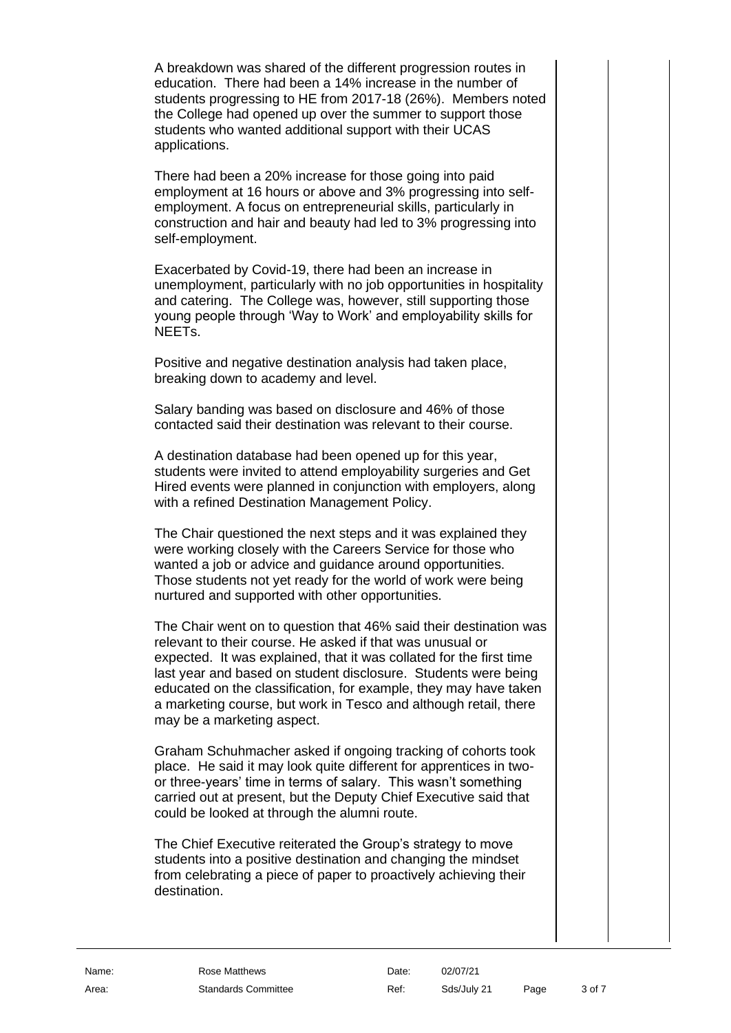A breakdown was shared of the different progression routes in education. There had been a 14% increase in the number of students progressing to HE from 2017-18 (26%). Members noted the College had opened up over the summer to support those students who wanted additional support with their UCAS applications.

There had been a 20% increase for those going into paid employment at 16 hours or above and 3% progressing into selfemployment. A focus on entrepreneurial skills, particularly in construction and hair and beauty had led to 3% progressing into self-employment.

Exacerbated by Covid-19, there had been an increase in unemployment, particularly with no job opportunities in hospitality and catering. The College was, however, still supporting those young people through 'Way to Work' and employability skills for NEETs.

Positive and negative destination analysis had taken place, breaking down to academy and level.

Salary banding was based on disclosure and 46% of those contacted said their destination was relevant to their course.

A destination database had been opened up for this year, students were invited to attend employability surgeries and Get Hired events were planned in conjunction with employers, along with a refined Destination Management Policy.

The Chair questioned the next steps and it was explained they were working closely with the Careers Service for those who wanted a job or advice and guidance around opportunities. Those students not yet ready for the world of work were being nurtured and supported with other opportunities.

The Chair went on to question that 46% said their destination was relevant to their course. He asked if that was unusual or expected. It was explained, that it was collated for the first time last year and based on student disclosure. Students were being educated on the classification, for example, they may have taken a marketing course, but work in Tesco and although retail, there may be a marketing aspect.

Graham Schuhmacher asked if ongoing tracking of cohorts took place. He said it may look quite different for apprentices in twoor three-years' time in terms of salary. This wasn't something carried out at present, but the Deputy Chief Executive said that could be looked at through the alumni route.

The Chief Executive reiterated the Group's strategy to move students into a positive destination and changing the mindset from celebrating a piece of paper to proactively achieving their destination.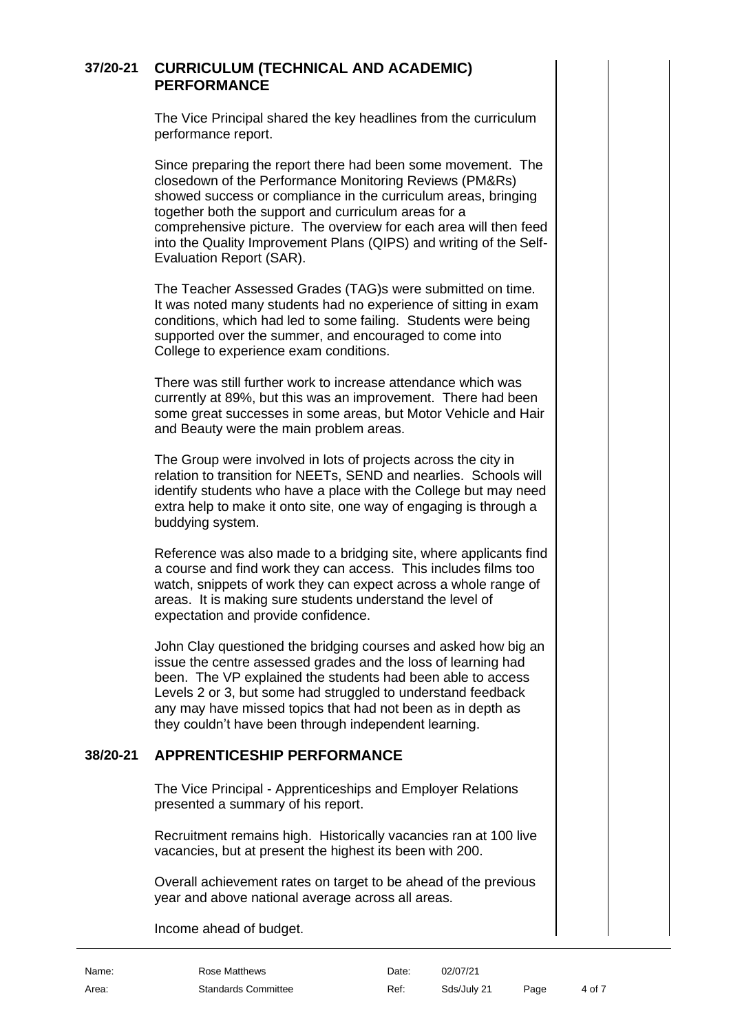#### **37/20-21 CURRICULUM (TECHNICAL AND ACADEMIC) PERFORMANCE**

The Vice Principal shared the key headlines from the curriculum performance report.

Since preparing the report there had been some movement. The closedown of the Performance Monitoring Reviews (PM&Rs) showed success or compliance in the curriculum areas, bringing together both the support and curriculum areas for a comprehensive picture. The overview for each area will then feed into the Quality Improvement Plans (QIPS) and writing of the Self-Evaluation Report (SAR).

The Teacher Assessed Grades (TAG)s were submitted on time. It was noted many students had no experience of sitting in exam conditions, which had led to some failing. Students were being supported over the summer, and encouraged to come into College to experience exam conditions.

There was still further work to increase attendance which was currently at 89%, but this was an improvement. There had been some great successes in some areas, but Motor Vehicle and Hair and Beauty were the main problem areas.

The Group were involved in lots of projects across the city in relation to transition for NEETs, SEND and nearlies. Schools will identify students who have a place with the College but may need extra help to make it onto site, one way of engaging is through a buddying system.

Reference was also made to a bridging site, where applicants find a course and find work they can access. This includes films too watch, snippets of work they can expect across a whole range of areas. It is making sure students understand the level of expectation and provide confidence.

John Clay questioned the bridging courses and asked how big an issue the centre assessed grades and the loss of learning had been. The VP explained the students had been able to access Levels 2 or 3, but some had struggled to understand feedback any may have missed topics that had not been as in depth as they couldn't have been through independent learning.

# **38/20-21 APPRENTICESHIP PERFORMANCE**

The Vice Principal - Apprenticeships and Employer Relations presented a summary of his report.

Recruitment remains high. Historically vacancies ran at 100 live vacancies, but at present the highest its been with 200.

Overall achievement rates on target to be ahead of the previous year and above national average across all areas.

Income ahead of budget.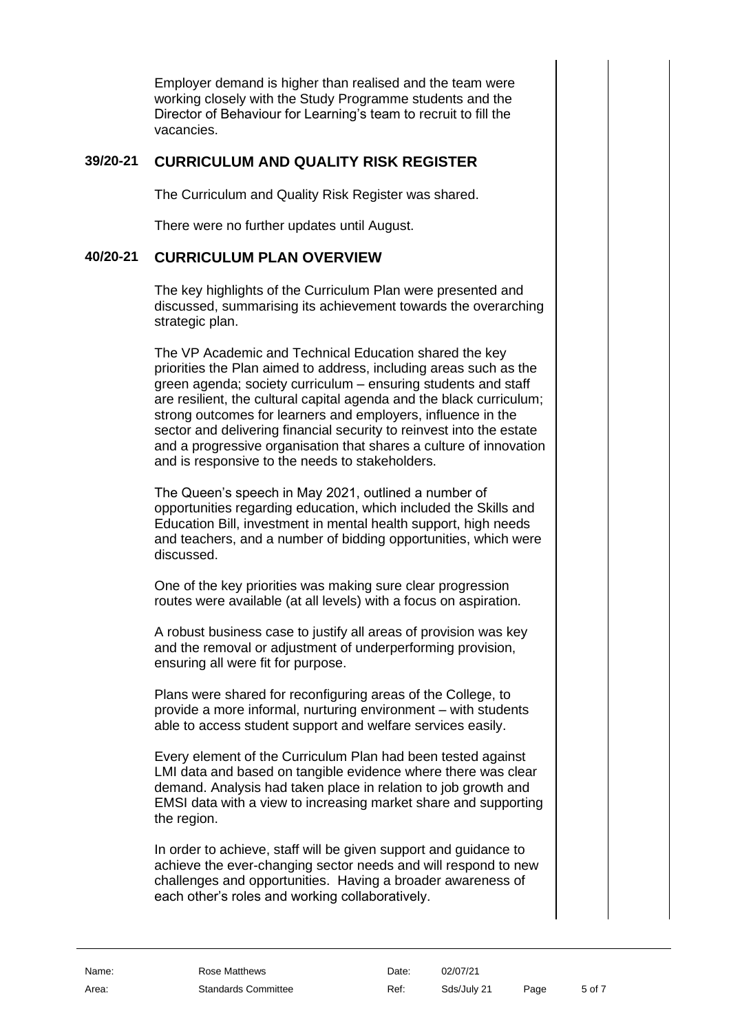Employer demand is higher than realised and the team were working closely with the Study Programme students and the Director of Behaviour for Learning's team to recruit to fill the vacancies.

## **39/20-21 CURRICULUM AND QUALITY RISK REGISTER**

The Curriculum and Quality Risk Register was shared.

There were no further updates until August.

#### **40/20-21 CURRICULUM PLAN OVERVIEW**

The key highlights of the Curriculum Plan were presented and discussed, summarising its achievement towards the overarching strategic plan.

The VP Academic and Technical Education shared the key priorities the Plan aimed to address, including areas such as the green agenda; society curriculum – ensuring students and staff are resilient, the cultural capital agenda and the black curriculum; strong outcomes for learners and employers, influence in the sector and delivering financial security to reinvest into the estate and a progressive organisation that shares a culture of innovation and is responsive to the needs to stakeholders.

The Queen's speech in May 2021, outlined a number of opportunities regarding education, which included the Skills and Education Bill, investment in mental health support, high needs and teachers, and a number of bidding opportunities, which were discussed.

One of the key priorities was making sure clear progression routes were available (at all levels) with a focus on aspiration.

A robust business case to justify all areas of provision was key and the removal or adjustment of underperforming provision, ensuring all were fit for purpose.

Plans were shared for reconfiguring areas of the College, to provide a more informal, nurturing environment – with students able to access student support and welfare services easily.

Every element of the Curriculum Plan had been tested against LMI data and based on tangible evidence where there was clear demand. Analysis had taken place in relation to job growth and EMSI data with a view to increasing market share and supporting the region.

In order to achieve, staff will be given support and guidance to achieve the ever-changing sector needs and will respond to new challenges and opportunities. Having a broader awareness of each other's roles and working collaboratively.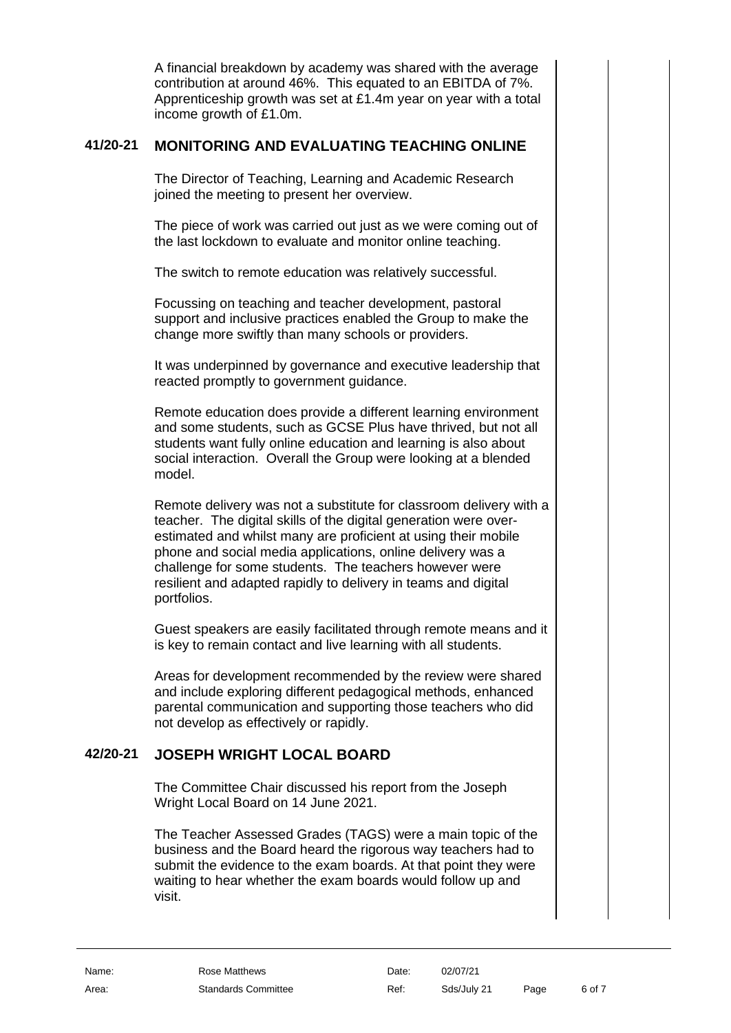A financial breakdown by academy was shared with the average contribution at around 46%. This equated to an EBITDA of 7%. Apprenticeship growth was set at £1.4m year on year with a total income growth of £1.0m.

### **41/20-21 MONITORING AND EVALUATING TEACHING ONLINE**

The Director of Teaching, Learning and Academic Research joined the meeting to present her overview.

The piece of work was carried out just as we were coming out of the last lockdown to evaluate and monitor online teaching.

The switch to remote education was relatively successful.

Focussing on teaching and teacher development, pastoral support and inclusive practices enabled the Group to make the change more swiftly than many schools or providers.

It was underpinned by governance and executive leadership that reacted promptly to government guidance.

Remote education does provide a different learning environment and some students, such as GCSE Plus have thrived, but not all students want fully online education and learning is also about social interaction. Overall the Group were looking at a blended model.

Remote delivery was not a substitute for classroom delivery with a teacher. The digital skills of the digital generation were overestimated and whilst many are proficient at using their mobile phone and social media applications, online delivery was a challenge for some students. The teachers however were resilient and adapted rapidly to delivery in teams and digital portfolios.

Guest speakers are easily facilitated through remote means and it is key to remain contact and live learning with all students.

Areas for development recommended by the review were shared and include exploring different pedagogical methods, enhanced parental communication and supporting those teachers who did not develop as effectively or rapidly.

# **42/20-21 JOSEPH WRIGHT LOCAL BOARD**

The Committee Chair discussed his report from the Joseph Wright Local Board on 14 June 2021.

The Teacher Assessed Grades (TAGS) were a main topic of the business and the Board heard the rigorous way teachers had to submit the evidence to the exam boards. At that point they were waiting to hear whether the exam boards would follow up and visit.